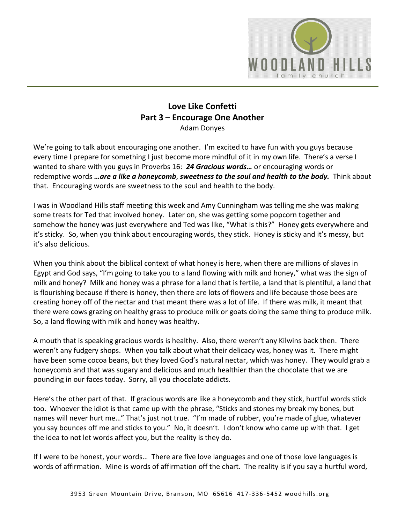

## **Love Like Confetti Part 3 – Encourage One Another** Adam Donyes

We're going to talk about encouraging one another. I'm excited to have fun with you guys because every time I prepare for something I just become more mindful of it in my own life. There's a verse I wanted to share with you guys in Proverbs 16: *[24](https://www.studylight.org/desk/?q=pr%2016:24&t1=en_niv&sr=1) Gracious words…* or encouraging words or redemptive words *…are a like a honeycomb*, *sweetness to the soul and health to the body.* Think about that. Encouraging words are sweetness to the soul and health to the body.

I was in Woodland Hills staff meeting this week and Amy Cunningham was telling me she was making some treats for Ted that involved honey. Later on, she was getting some popcorn together and somehow the honey was just everywhere and Ted was like, "What is this?" Honey gets everywhere and it's sticky. So, when you think about encouraging words, they stick. Honey is sticky and it's messy, but it's also delicious.

When you think about the biblical context of what honey is here, when there are millions of slaves in Egypt and God says, "I'm going to take you to a land flowing with milk and honey," what was the sign of milk and honey? Milk and honey was a phrase for a land that is fertile, a land that is plentiful, a land that is flourishing because if there is honey, then there are lots of flowers and life because those bees are creating honey off of the nectar and that meant there was a lot of life. If there was milk, it meant that there were cows grazing on healthy grass to produce milk or goats doing the same thing to produce milk. So, a land flowing with milk and honey was healthy.

A mouth that is speaking gracious words is healthy. Also, there weren't any Kilwins back then. There weren't any fudgery shops. When you talk about what their delicacy was, honey was it. There might have been some cocoa beans, but they loved God's natural nectar, which was honey. They would grab a honeycomb and that was sugary and delicious and much healthier than the chocolate that we are pounding in our faces today. Sorry, all you chocolate addicts.

Here's the other part of that. If gracious words are like a honeycomb and they stick, hurtful words stick too. Whoever the idiot is that came up with the phrase, "Sticks and stones my break my bones, but names will never hurt me…" That's just not true. "I'm made of rubber, you're made of glue, whatever you say bounces off me and sticks to you." No, it doesn't. I don't know who came up with that. I get the idea to not let words affect you, but the reality is they do.

If I were to be honest, your words… There are five love languages and one of those love languages is words of affirmation. Mine is words of affirmation off the chart. The reality is if you say a hurtful word,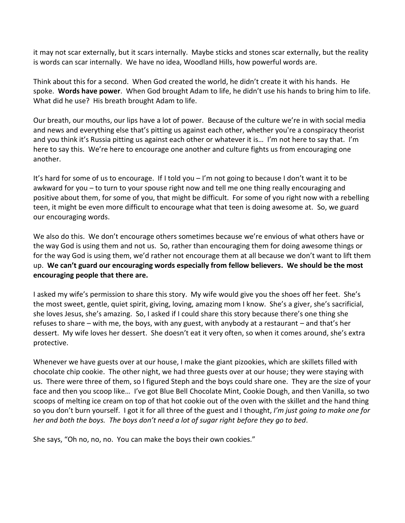it may not scar externally, but it scars internally. Maybe sticks and stones scar externally, but the reality is words can scar internally. We have no idea, Woodland Hills, how powerful words are.

Think about this for a second. When God created the world, he didn't create it with his hands. He spoke. **Words have power**. When God brought Adam to life, he didn't use his hands to bring him to life. What did he use? His breath brought Adam to life.

Our breath, our mouths, our lips have a lot of power. Because of the culture we're in with social media and news and everything else that's pitting us against each other, whether you're a conspiracy theorist and you think it's Russia pitting us against each other or whatever it is… I'm not here to say that. I'm here to say this. We're here to encourage one another and culture fights us from encouraging one another.

It's hard for some of us to encourage. If I told you – I'm not going to because I don't want it to be awkward for you – to turn to your spouse right now and tell me one thing really encouraging and positive about them, for some of you, that might be difficult. For some of you right now with a rebelling teen, it might be even more difficult to encourage what that teen is doing awesome at. So, we guard our encouraging words.

We also do this. We don't encourage others sometimes because we're envious of what others have or the way God is using them and not us. So, rather than encouraging them for doing awesome things or for the way God is using them, we'd rather not encourage them at all because we don't want to lift them up. **We can't guard our encouraging words especially from fellow believers. We should be the most encouraging people that there are.** 

I asked my wife's permission to share this story. My wife would give you the shoes off her feet. She's the most sweet, gentle, quiet spirit, giving, loving, amazing mom I know. She's a giver, she's sacrificial, she loves Jesus, she's amazing. So, I asked if I could share this story because there's one thing she refuses to share – with me, the boys, with any guest, with anybody at a restaurant – and that's her dessert. My wife loves her dessert. She doesn't eat it very often, so when it comes around, she's extra protective.

Whenever we have guests over at our house, I make the giant pizookies, which are skillets filled with chocolate chip cookie. The other night, we had three guests over at our house; they were staying with us. There were three of them, so I figured Steph and the boys could share one. They are the size of your face and then you scoop like… I've got Blue Bell Chocolate Mint, Cookie Dough, and then Vanilla, so two scoops of melting ice cream on top of that hot cookie out of the oven with the skillet and the hand thing so you don't burn yourself. I got it for all three of the guest and I thought, *I'm just going to make one for her and both the boys. The boys don't need a lot of sugar right before they go to bed*.

She says, "Oh no, no, no. You can make the boys their own cookies."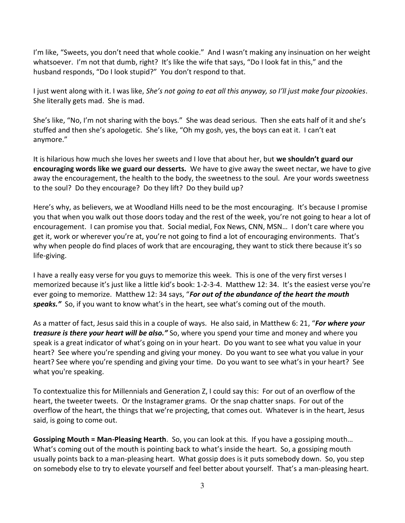I'm like, "Sweets, you don't need that whole cookie." And I wasn't making any insinuation on her weight whatsoever. I'm not that dumb, right? It's like the wife that says, "Do I look fat in this," and the husband responds, "Do I look stupid?" You don't respond to that.

I just went along with it. I was like, *She's not going to eat all this anyway, so I'll just make four pizookies*. She literally gets mad. She is mad.

She's like, "No, I'm not sharing with the boys." She was dead serious. Then she eats half of it and she's stuffed and then she's apologetic. She's like, "Oh my gosh, yes, the boys can eat it. I can't eat anymore."

It is hilarious how much she loves her sweets and I love that about her, but **we shouldn't guard our encouraging words like we guard our desserts.** We have to give away the sweet nectar, we have to give away the encouragement, the health to the body, the sweetness to the soul. Are your words sweetness to the soul? Do they encourage? Do they lift? Do they build up?

Here's why, as believers, we at Woodland Hills need to be the most encouraging. It's because I promise you that when you walk out those doors today and the rest of the week, you're not going to hear a lot of encouragement. I can promise you that. Social medial, Fox News, CNN, MSN… I don't care where you get it, work or wherever you're at, you're not going to find a lot of encouraging environments. That's why when people do find places of work that are encouraging, they want to stick there because it's so life-giving.

I have a really easy verse for you guys to memorize this week. This is one of the very first verses I memorized because it's just like a little kid's book: 1-2-3-4. Matthew 12: 34. It's the easiest verse you're ever going to memorize. Matthew 12: 34 says, "*For out of the abundance of the heart the mouth speaks."* So, if you want to know what's in the heart, see what's coming out of the mouth.

As a matter of fact, Jesus said this in a couple of ways. He also said, in Matthew 6: 21, "*For where your treasure is there your heart will be also."* So, where you spend your time and money and where you speak is a great indicator of what's going on in your heart. Do you want to see what you value in your heart? See where you're spending and giving your money. Do you want to see what you value in your heart? See where you're spending and giving your time. Do you want to see what's in your heart? See what you're speaking.

To contextualize this for Millennials and Generation Z, I could say this: For out of an overflow of the heart, the tweeter tweets. Or the Instagramer grams. Or the snap chatter snaps. For out of the overflow of the heart, the things that we're projecting, that comes out. Whatever is in the heart, Jesus said, is going to come out.

**Gossiping Mouth = Man-Pleasing Hearth**. So, you can look at this. If you have a gossiping mouth… What's coming out of the mouth is pointing back to what's inside the heart. So, a gossiping mouth usually points back to a man-pleasing heart. What gossip does is it puts somebody down. So, you step on somebody else to try to elevate yourself and feel better about yourself. That's a man-pleasing heart.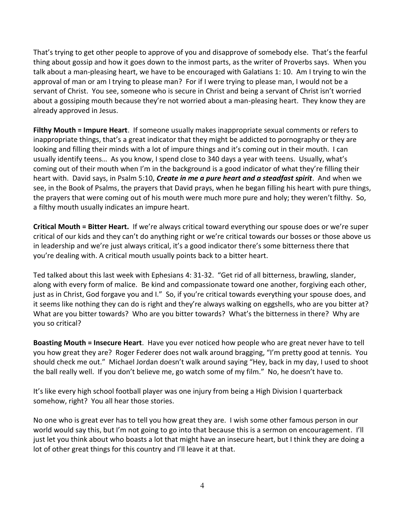That's trying to get other people to approve of you and disapprove of somebody else. That's the fearful thing about gossip and how it goes down to the inmost parts, as the writer of Proverbs says. When you talk about a man-pleasing heart, we have to be encouraged with Galatians 1: 10. Am I trying to win the approval of man or am I trying to please man? For if I were trying to please man, I would not be a servant of Christ. You see, someone who is secure in Christ and being a servant of Christ isn't worried about a gossiping mouth because they're not worried about a man-pleasing heart. They know they are already approved in Jesus.

**Filthy Mouth = Impure Heart**. If someone usually makes inappropriate sexual comments or refers to inappropriate things, that's a great indicator that they might be addicted to pornography or they are looking and filling their minds with a lot of impure things and it's coming out in their mouth. I can usually identify teens… As you know, I spend close to 340 days a year with teens. Usually, what's coming out of their mouth when I'm in the background is a good indicator of what they're filling their heart with. David says, in Psalm 5:10, *Create in me a pure heart and a steadfast spirit*. And when we see, in the Book of Psalms, the prayers that David prays, when he began filling his heart with pure things, the prayers that were coming out of his mouth were much more pure and holy; they weren't filthy. So, a filthy mouth usually indicates an impure heart.

**Critical Mouth = Bitter Heart.** If we're always critical toward everything our spouse does or we're super critical of our kids and they can't do anything right or we're critical towards our bosses or those above us in leadership and we're just always critical, it's a good indicator there's some bitterness there that you're dealing with. A critical mouth usually points back to a bitter heart.

Ted talked about this last week with Ephesians 4: 31-32. "Get rid of all bitterness, brawling, slander, along with every form of malice. Be kind and compassionate toward one another, forgiving each other, just as in Christ, God forgave you and I." So, if you're critical towards everything your spouse does, and it seems like nothing they can do is right and they're always walking on eggshells, who are you bitter at? What are you bitter towards? Who are you bitter towards? What's the bitterness in there? Why are you so critical?

**Boasting Mouth = Insecure Heart**. Have you ever noticed how people who are great never have to tell you how great they are? Roger Federer does not walk around bragging, "I'm pretty good at tennis. You should check me out." Michael Jordan doesn't walk around saying "Hey, back in my day, I used to shoot the ball really well. If you don't believe me, go watch some of my film." No, he doesn't have to.

It's like every high school football player was one injury from being a High Division I quarterback somehow, right? You all hear those stories.

No one who is great ever has to tell you how great they are. I wish some other famous person in our world would say this, but I'm not going to go into that because this is a sermon on encouragement. I'll just let you think about who boasts a lot that might have an insecure heart, but I think they are doing a lot of other great things for this country and I'll leave it at that.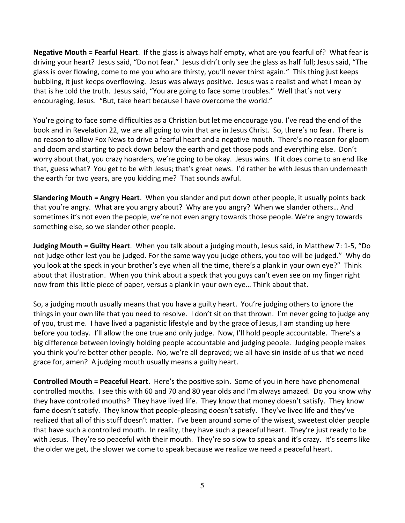**Negative Mouth = Fearful Heart**. If the glass is always half empty, what are you fearful of? What fear is driving your heart? Jesus said, "Do not fear." Jesus didn't only see the glass as half full; Jesus said, "The glass is over flowing, come to me you who are thirsty, you'll never thirst again." This thing just keeps bubbling, it just keeps overflowing. Jesus was always positive. Jesus was a realist and what I mean by that is he told the truth. Jesus said, "You are going to face some troubles." Well that's not very encouraging, Jesus. "But, take heart because I have overcome the world."

You're going to face some difficulties as a Christian but let me encourage you. I've read the end of the book and in Revelation 22, we are all going to win that are in Jesus Christ. So, there's no fear. There is no reason to allow Fox News to drive a fearful heart and a negative mouth. There's no reason for gloom and doom and starting to pack down below the earth and get those pods and everything else. Don't worry about that, you crazy hoarders, we're going to be okay. Jesus wins. If it does come to an end like that, guess what? You get to be with Jesus; that's great news. I'd rather be with Jesus than underneath the earth for two years, are you kidding me? That sounds awful.

**Slandering Mouth = Angry Heart**. When you slander and put down other people, it usually points back that you're angry. What are you angry about? Why are you angry? When we slander others… And sometimes it's not even the people, we're not even angry towards those people. We're angry towards something else, so we slander other people.

**Judging Mouth = Guilty Heart**. When you talk about a judging mouth, Jesus said, in Matthew 7: 1-5, "Do not judge other lest you be judged. For the same way you judge others, you too will be judged." Why do you look at the speck in your brother's eye when all the time, there's a plank in your own eye?" Think about that illustration. When you think about a speck that you guys can't even see on my finger right now from this little piece of paper, versus a plank in your own eye… Think about that.

So, a judging mouth usually means that you have a guilty heart. You're judging others to ignore the things in your own life that you need to resolve. I don't sit on that thrown. I'm never going to judge any of you, trust me. I have lived a paganistic lifestyle and by the grace of Jesus, I am standing up here before you today. I'll allow the one true and only judge. Now, I'll hold people accountable. There's a big difference between lovingly holding people accountable and judging people. Judging people makes you think you're better other people. No, we're all depraved; we all have sin inside of us that we need grace for, amen? A judging mouth usually means a guilty heart.

**Controlled Mouth = Peaceful Heart**. Here's the positive spin. Some of you in here have phenomenal controlled mouths. I see this with 60 and 70 and 80 year olds and I'm always amazed. Do you know why they have controlled mouths? They have lived life. They know that money doesn't satisfy. They know fame doesn't satisfy. They know that people-pleasing doesn't satisfy. They've lived life and they've realized that all of this stuff doesn't matter. I've been around some of the wisest, sweetest older people that have such a controlled mouth. In reality, they have such a peaceful heart. They're just ready to be with Jesus. They're so peaceful with their mouth. They're so slow to speak and it's crazy. It's seems like the older we get, the slower we come to speak because we realize we need a peaceful heart.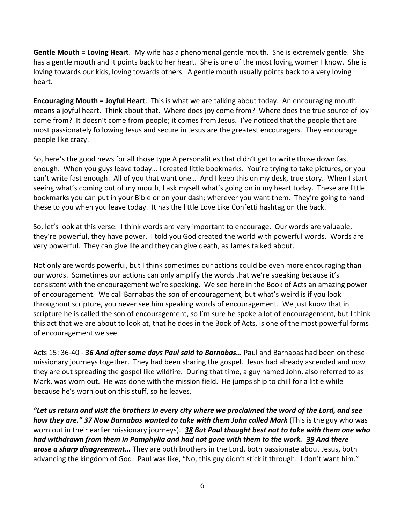**Gentle Mouth = Loving Heart**. My wife has a phenomenal gentle mouth. She is extremely gentle. She has a gentle mouth and it points back to her heart. She is one of the most loving women I know. She is loving towards our kids, loving towards others. A gentle mouth usually points back to a very loving heart.

**Encouraging Mouth = Joyful Heart**. This is what we are talking about today. An encouraging mouth means a joyful heart. Think about that. Where does joy come from? Where does the true source of joy come from? It doesn't come from people; it comes from Jesus. I've noticed that the people that are most passionately following Jesus and secure in Jesus are the greatest encouragers. They encourage people like crazy.

So, here's the good news for all those type A personalities that didn't get to write those down fast enough. When you guys leave today… I created little bookmarks. You're trying to take pictures, or you can't write fast enough. All of you that want one… And I keep this on my desk, true story. When I start seeing what's coming out of my mouth, I ask myself what's going on in my heart today. These are little bookmarks you can put in your Bible or on your dash; wherever you want them. They're going to hand these to you when you leave today. It has the little Love Like Confetti hashtag on the back.

So, let's look at this verse. I think words are very important to encourage. Our words are valuable, they're powerful, they have power. I told you God created the world with powerful words. Words are very powerful. They can give life and they can give death, as James talked about.

Not only are words powerful, but I think sometimes our actions could be even more encouraging than our words. Sometimes our actions can only amplify the words that we're speaking because it's consistent with the encouragement we're speaking. We see here in the Book of Acts an amazing power of encouragement. We call Barnabas the son of encouragement, but what's weird is if you look throughout scripture, you never see him speaking words of encouragement. We just know that in scripture he is called the son of encouragement, so I'm sure he spoke a lot of encouragement, but I think this act that we are about to look at, that he does in the Book of Acts, is one of the most powerful forms of encouragement we see.

Acts 15: 36-40 - *[36](https://www.studylight.org/desk/?q=ac%2015:36&t1=en_esv&sr=1) And after some days Paul said to Barnabas…* Paul and Barnabas had been on these missionary journeys together. They had been sharing the gospel. Jesus had already ascended and now they are out spreading the gospel like wildfire. During that time, a guy named John, also referred to as Mark, was worn out. He was done with the mission field. He jumps ship to chill for a little while because he's worn out on this stuff, so he leaves.

*"Let us return and visit the brothers in every city where we proclaimed the word of the Lord, and see how they are." [37](https://www.studylight.org/desk/?q=ac%2015:37&t1=en_esv&sr=1) Now Barnabas wanted to take with them John called Mark* (This is the guy who was worn out in their earlier missionary journeys). *[38](https://www.studylight.org/desk/?q=ac%2015:38&t1=en_esv&sr=1) But Paul thought best not to take with them one who had withdrawn from them in Pamphylia and had not gone with them to the work. [39](https://www.studylight.org/desk/?q=ac%2015:39&t1=en_esv&sr=1) And there arose a sharp disagreement…* They are both brothers in the Lord, both passionate about Jesus, both advancing the kingdom of God. Paul was like, "No, this guy didn't stick it through. I don't want him."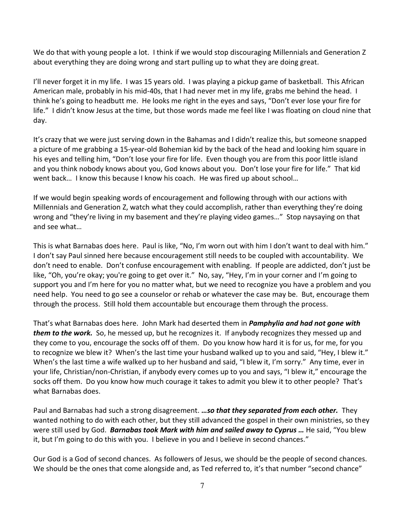We do that with young people a lot. I think if we would stop discouraging Millennials and Generation Z about everything they are doing wrong and start pulling up to what they are doing great.

I'll never forget it in my life. I was 15 years old. I was playing a pickup game of basketball. This African American male, probably in his mid-40s, that I had never met in my life, grabs me behind the head. I think he's going to headbutt me. He looks me right in the eyes and says, "Don't ever lose your fire for life." I didn't know Jesus at the time, but those words made me feel like I was floating on cloud nine that day.

It's crazy that we were just serving down in the Bahamas and I didn't realize this, but someone snapped a picture of me grabbing a 15-year-old Bohemian kid by the back of the head and looking him square in his eyes and telling him, "Don't lose your fire for life. Even though you are from this poor little island and you think nobody knows about you, God knows about you. Don't lose your fire for life." That kid went back… I know this because I know his coach. He was fired up about school…

If we would begin speaking words of encouragement and following through with our actions with Millennials and Generation Z, watch what they could accomplish, rather than everything they're doing wrong and "they're living in my basement and they're playing video games…" Stop naysaying on that and see what…

This is what Barnabas does here. Paul is like, "No, I'm worn out with him I don't want to deal with him." I don't say Paul sinned here because encouragement still needs to be coupled with accountability. We don't need to enable. Don't confuse encouragement with enabling. If people are addicted, don't just be like, "Oh, you're okay; you're going to get over it." No, say, "Hey, I'm in your corner and I'm going to support you and I'm here for you no matter what, but we need to recognize you have a problem and you need help. You need to go see a counselor or rehab or whatever the case may be. But, encourage them through the process. Still hold them accountable but encourage them through the process.

That's what Barnabas does here. John Mark had deserted them in *Pamphylia and had not gone with them to the work.* So, he messed up, but he recognizes it. If anybody recognizes they messed up and they come to you, encourage the socks off of them. Do you know how hard it is for us, for me, for you to recognize we blew it? When's the last time your husband walked up to you and said, "Hey, I blew it." When's the last time a wife walked up to her husband and said, "I blew it, I'm sorry." Any time, ever in your life, Christian/non-Christian, if anybody every comes up to you and says, "I blew it," encourage the socks off them. Do you know how much courage it takes to admit you blew it to other people? That's what Barnabas does.

Paul and Barnabas had such a strong disagreement. *…so that they separated from each other.* They wanted nothing to do with each other, but they still advanced the gospel in their own ministries, so they were still used by God. *Barnabas took Mark with him and sailed away to Cyprus …* He said, "You blew it, but I'm going to do this with you. I believe in you and I believe in second chances."

Our God is a God of second chances. As followers of Jesus, we should be the people of second chances. We should be the ones that come alongside and, as Ted referred to, it's that number "second chance"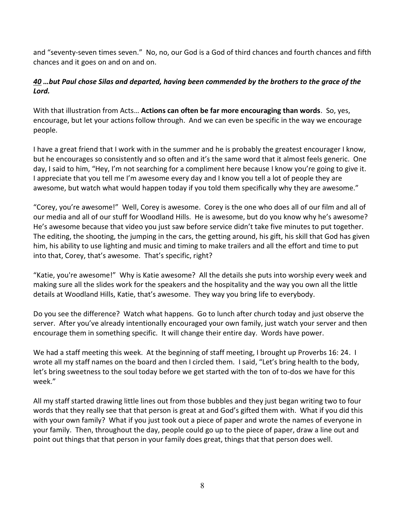and "seventy-seven times seven." No, no, our God is a God of third chances and fourth chances and fifth chances and it goes on and on and on.

## *[40](https://www.studylight.org/desk/?q=ac%2015:40&t1=en_esv&sr=1) …but Paul chose Silas and departed, having been commended by the brothers to the grace of the Lord.*

With that illustration from Acts… **Actions can often be far more encouraging than words**. So, yes, encourage, but let your actions follow through. And we can even be specific in the way we encourage people.

I have a great friend that I work with in the summer and he is probably the greatest encourager I know, but he encourages so consistently and so often and it's the same word that it almost feels generic. One day, I said to him, "Hey, I'm not searching for a compliment here because I know you're going to give it. I appreciate that you tell me I'm awesome every day and I know you tell a lot of people they are awesome, but watch what would happen today if you told them specifically why they are awesome."

"Corey, you're awesome!" Well, Corey is awesome. Corey is the one who does all of our film and all of our media and all of our stuff for Woodland Hills. He is awesome, but do you know why he's awesome? He's awesome because that video you just saw before service didn't take five minutes to put together. The editing, the shooting, the jumping in the cars, the getting around, his gift, his skill that God has given him, his ability to use lighting and music and timing to make trailers and all the effort and time to put into that, Corey, that's awesome. That's specific, right?

"Katie, you're awesome!" Why is Katie awesome? All the details she puts into worship every week and making sure all the slides work for the speakers and the hospitality and the way you own all the little details at Woodland Hills, Katie, that's awesome. They way you bring life to everybody.

Do you see the difference? Watch what happens. Go to lunch after church today and just observe the server. After you've already intentionally encouraged your own family, just watch your server and then encourage them in something specific. It will change their entire day. Words have power.

We had a staff meeting this week. At the beginning of staff meeting, I brought up Proverbs 16: 24. I wrote all my staff names on the board and then I circled them. I said, "Let's bring health to the body, let's bring sweetness to the soul today before we get started with the ton of to-dos we have for this week."

All my staff started drawing little lines out from those bubbles and they just began writing two to four words that they really see that that person is great at and God's gifted them with. What if you did this with your own family? What if you just took out a piece of paper and wrote the names of everyone in your family. Then, throughout the day, people could go up to the piece of paper, draw a line out and point out things that that person in your family does great, things that that person does well.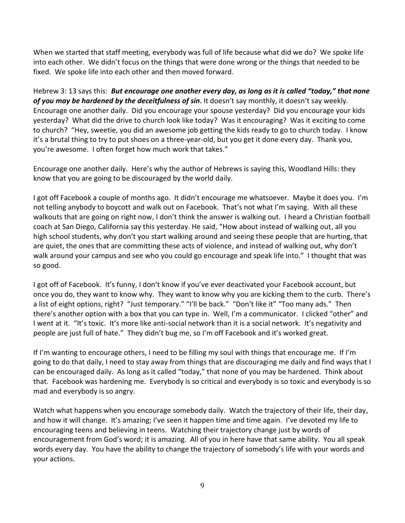When we started that staff meeting, everybody was full of life because what did we do? We spoke life into each other. We didn't focus on the things that were done wrong or the things that needed to be fixed. We spoke life into each other and then moved forward.

Hebrew 3: 13 says this: *But encourage one another every day, as long as it is called "today," that none of you may be hardened by the deceitfulness of sin***.** It doesn't say monthly, it doesn't say weekly. Encourage one another daily. Did you encourage your spouse yesterday? Did you encourage your kids yesterday? What did the drive to church look like today? Was it encouraging? Was it exciting to come to church? "Hey, sweetie, you did an awesome job getting the kids ready to go to church today. I know it's a brutal thing to try to put shoes on a three-year-old, but you get it done every day. Thank you, you're awesome. I often forget how much work that takes."

Encourage one another daily. Here's why the author of Hebrews is saying this, Woodland Hills: they know that you are going to be discouraged by the world daily.

I got off Facebook a couple of months ago. It didn't encourage me whatsoever. Maybe it does you. I'm not telling anybody to boycott and walk out on Facebook. That's not what I'm saying. With all these walkouts that are going on right now, I don't think the answer is walking out. I heard a Christian football coach at San Diego, California say this yesterday. He said, "How about instead of walking out, all you high school students, why don't you start walking around and seeing these people that are hurting, that are quiet, the ones that are committing these acts of violence, and instead of walking out, why don't walk around your campus and see who you could go encourage and speak life into." I thought that was so good.

I got off of Facebook. It's funny, I don't know if you've ever deactivated your Facebook account, but once you do, they want to know why. They want to know why you are kicking them to the curb. There's a list of eight options, right? "Just temporary." "I'll be back." "Don't like it" "Too many ads." Then there's another option with a box that you can type in. Well, I'm a communicator. I clicked "other" and I went at it. "It's toxic. It's more like anti-social network than it is a social network. It's negativity and people are just full of hate." They didn't bug me, so I'm off Facebook and it's worked great.

If I'm wanting to encourage others, I need to be filling my soul with things that encourage me. If I'm going to do that daily, I need to stay away from things that are discouraging me daily and find ways that I can be encouraged daily. As long as it called "today," that none of you may be hardened. Think about that. Facebook was hardening me. Everybody is so critical and everybody is so toxic and everybody is so mad and everybody is so angry.

Watch what happens when you encourage somebody daily. Watch the trajectory of their life, their day, and how it will change. It's amazing; I've seen it happen time and time again. I've devoted my life to encouraging teens and believing in teens. Watching their trajectory change just by words of encouragement from God's word; it is amazing. All of you in here have that same ability. You all speak words every day. You have the ability to change the trajectory of somebody's life with your words and your actions.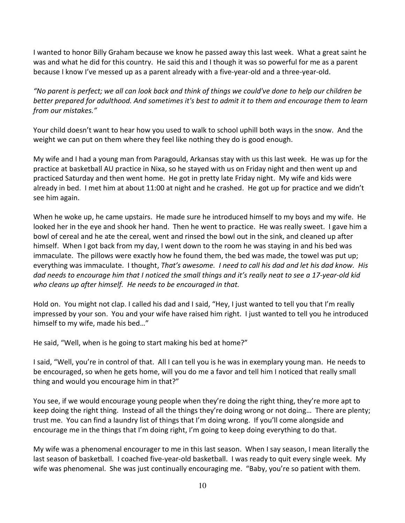I wanted to honor Billy Graham because we know he passed away this last week. What a great saint he was and what he did for this country. He said this and I though it was so powerful for me as a parent because I know I've messed up as a parent already with a five-year-old and a three-year-old.

*"No parent is perfect; we all can look back and think of things we could've done to help our children be better prepared for adulthood. And sometimes it's best to admit it to them and encourage them to learn from our mistakes."*

Your child doesn't want to hear how you used to walk to school uphill both ways in the snow. And the weight we can put on them where they feel like nothing they do is good enough.

My wife and I had a young man from Paragould, Arkansas stay with us this last week. He was up for the practice at basketball AU practice in Nixa, so he stayed with us on Friday night and then went up and practiced Saturday and then went home. He got in pretty late Friday night. My wife and kids were already in bed. I met him at about 11:00 at night and he crashed. He got up for practice and we didn't see him again.

When he woke up, he came upstairs. He made sure he introduced himself to my boys and my wife. He looked her in the eye and shook her hand. Then he went to practice. He was really sweet. I gave him a bowl of cereal and he ate the cereal, went and rinsed the bowl out in the sink, and cleaned up after himself. When I got back from my day, I went down to the room he was staying in and his bed was immaculate. The pillows were exactly how he found them, the bed was made, the towel was put up; everything was immaculate. I thought, *That's awesome. I need to call his dad and let his dad know. His dad needs to encourage him that I noticed the small things and it's really neat to see a 17-year-old kid who cleans up after himself. He needs to be encouraged in that.* 

Hold on. You might not clap. I called his dad and I said, "Hey, I just wanted to tell you that I'm really impressed by your son. You and your wife have raised him right. I just wanted to tell you he introduced himself to my wife, made his bed…"

He said, "Well, when is he going to start making his bed at home?"

I said, "Well, you're in control of that. All I can tell you is he was in exemplary young man. He needs to be encouraged, so when he gets home, will you do me a favor and tell him I noticed that really small thing and would you encourage him in that?"

You see, if we would encourage young people when they're doing the right thing, they're more apt to keep doing the right thing. Instead of all the things they're doing wrong or not doing… There are plenty; trust me. You can find a laundry list of things that I'm doing wrong. If you'll come alongside and encourage me in the things that I'm doing right, I'm going to keep doing everything to do that.

My wife was a phenomenal encourager to me in this last season. When I say season, I mean literally the last season of basketball. I coached five-year-old basketball. I was ready to quit every single week. My wife was phenomenal. She was just continually encouraging me. "Baby, you're so patient with them.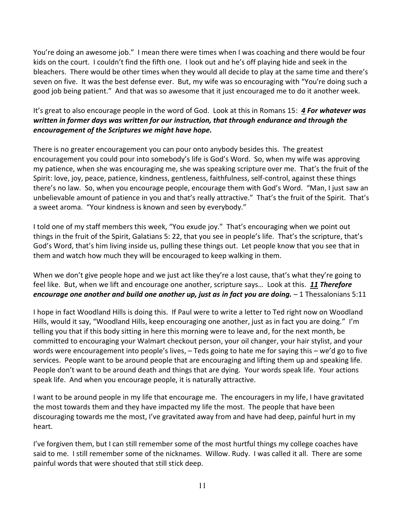You're doing an awesome job." I mean there were times when I was coaching and there would be four kids on the court. I couldn't find the fifth one. I look out and he's off playing hide and seek in the bleachers. There would be other times when they would all decide to play at the same time and there's seven on five. It was the best defense ever. But, my wife was so encouraging with "You're doing such a good job being patient." And that was so awesome that it just encouraged me to do it another week.

## It's great to also encourage people in the word of God. Look at this in Romans 15: *[4](https://www.studylight.org/desk/?q=ro%2015:4&t1=en_esv&sr=1) For whatever was written in former days was written for our instruction, that through endurance and through the encouragement of the Scriptures we might have hope.*

There is no greater encouragement you can pour onto anybody besides this. The greatest encouragement you could pour into somebody's life is God's Word. So, when my wife was approving my patience, when she was encouraging me, she was speaking scripture over me. That's the fruit of the Spirit: love, joy, peace, patience, kindness, gentleness, faithfulness, self-control, against these things there's no law. So, when you encourage people, encourage them with God's Word. "Man, I just saw an unbelievable amount of patience in you and that's really attractive." That's the fruit of the Spirit. That's a sweet aroma. "Your kindness is known and seen by everybody."

I told one of my staff members this week, "You exude joy." That's encouraging when we point out things in the fruit of the Spirit, Galatians 5: 22, that you see in people's life. That's the scripture, that's God's Word, that's him living inside us, pulling these things out. Let people know that you see that in them and watch how much they will be encouraged to keep walking in them.

When we don't give people hope and we just act like they're a lost cause, that's what they're going to feel like. But, when we lift and encourage one another, scripture says… Look at this. *[11](https://www.studylight.org/desk/?q=1th%205:11&t1=en_esv&sr=1) Therefore encourage one another and build one another up, just as in fact you are doing.* – 1 Thessalonians 5:11

I hope in fact Woodland Hills is doing this. If Paul were to write a letter to Ted right now on Woodland Hills, would it say, "Woodland Hills, keep encouraging one another, just as in fact you are doing." I'm telling you that if this body sitting in here this morning were to leave and, for the next month, be committed to encouraging your Walmart checkout person, your oil changer, your hair stylist, and your words were encouragement into people's lives, – Teds going to hate me for saying this – we'd go to five services. People want to be around people that are encouraging and lifting them up and speaking life. People don't want to be around death and things that are dying. Your words speak life. Your actions speak life. And when you encourage people, it is naturally attractive.

I want to be around people in my life that encourage me. The encouragers in my life, I have gravitated the most towards them and they have impacted my life the most. The people that have been discouraging towards me the most, I've gravitated away from and have had deep, painful hurt in my heart.

I've forgiven them, but I can still remember some of the most hurtful things my college coaches have said to me. I still remember some of the nicknames. Willow. Rudy. I was called it all. There are some painful words that were shouted that still stick deep.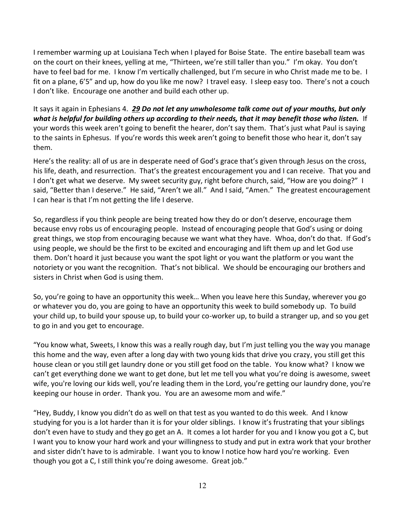I remember warming up at Louisiana Tech when I played for Boise State. The entire baseball team was on the court on their knees, yelling at me, "Thirteen, we're still taller than you." I'm okay. You don't have to feel bad for me. I know I'm vertically challenged, but I'm secure in who Christ made me to be. I fit on a plane, 6'5" and up, how do you like me now? I travel easy. I sleep easy too. There's not a couch I don't like. Encourage one another and build each other up.

It says it again in Ephesians 4. *[29](https://www.studylight.org/desk/?q=eph%204:29&t1=en_niv&sr=1) Do not let any unwholesome talk come out of your mouths, but only what is helpful for building others up according to their needs, that it may benefit those who listen.* If your words this week aren't going to benefit the hearer, don't say them. That's just what Paul is saying to the saints in Ephesus. If you're words this week aren't going to benefit those who hear it, don't say them.

Here's the reality: all of us are in desperate need of God's grace that's given through Jesus on the cross, his life, death, and resurrection. That's the greatest encouragement you and I can receive. That you and I don't get what we deserve. My sweet security guy, right before church, said, "How are you doing?" I said, "Better than I deserve." He said, "Aren't we all." And I said, "Amen." The greatest encouragement I can hear is that I'm not getting the life I deserve.

So, regardless if you think people are being treated how they do or don't deserve, encourage them because envy robs us of encouraging people. Instead of encouraging people that God's using or doing great things, we stop from encouraging because we want what they have. Whoa, don't do that. If God's using people, we should be the first to be excited and encouraging and lift them up and let God use them. Don't hoard it just because you want the spot light or you want the platform or you want the notoriety or you want the recognition. That's not biblical. We should be encouraging our brothers and sisters in Christ when God is using them.

So, you're going to have an opportunity this week… When you leave here this Sunday, wherever you go or whatever you do, you are going to have an opportunity this week to build somebody up. To build your child up, to build your spouse up, to build your co-worker up, to build a stranger up, and so you get to go in and you get to encourage.

"You know what, Sweets, I know this was a really rough day, but I'm just telling you the way you manage this home and the way, even after a long day with two young kids that drive you crazy, you still get this house clean or you still get laundry done or you still get food on the table. You know what? I know we can't get everything done we want to get done, but let me tell you what you're doing is awesome, sweet wife, you're loving our kids well, you're leading them in the Lord, you're getting our laundry done, you're keeping our house in order. Thank you. You are an awesome mom and wife."

"Hey, Buddy, I know you didn't do as well on that test as you wanted to do this week. And I know studying for you is a lot harder than it is for your older siblings. I know it's frustrating that your siblings don't even have to study and they go get an A. It comes a lot harder for you and I know you got a C, but I want you to know your hard work and your willingness to study and put in extra work that your brother and sister didn't have to is admirable. I want you to know I notice how hard you're working. Even though you got a C, I still think you're doing awesome. Great job."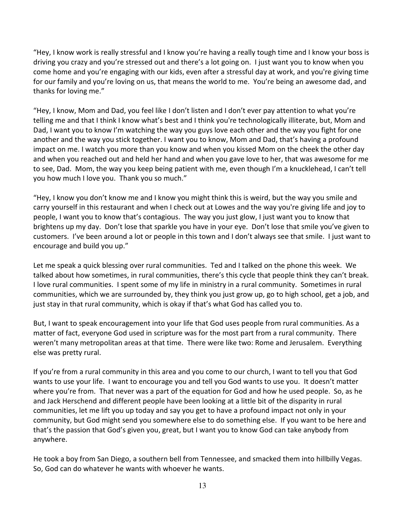"Hey, I know work is really stressful and I know you're having a really tough time and I know your boss is driving you crazy and you're stressed out and there's a lot going on. I just want you to know when you come home and you're engaging with our kids, even after a stressful day at work, and you're giving time for our family and you're loving on us, that means the world to me. You're being an awesome dad, and thanks for loving me."

"Hey, I know, Mom and Dad, you feel like I don't listen and I don't ever pay attention to what you're telling me and that I think I know what's best and I think you're technologically illiterate, but, Mom and Dad, I want you to know I'm watching the way you guys love each other and the way you fight for one another and the way you stick together. I want you to know, Mom and Dad, that's having a profound impact on me. I watch you more than you know and when you kissed Mom on the cheek the other day and when you reached out and held her hand and when you gave love to her, that was awesome for me to see, Dad. Mom, the way you keep being patient with me, even though I'm a knucklehead, I can't tell you how much I love you. Thank you so much."

"Hey, I know you don't know me and I know you might think this is weird, but the way you smile and carry yourself in this restaurant and when I check out at Lowes and the way you're giving life and joy to people, I want you to know that's contagious. The way you just glow, I just want you to know that brightens up my day. Don't lose that sparkle you have in your eye. Don't lose that smile you've given to customers. I've been around a lot or people in this town and I don't always see that smile. I just want to encourage and build you up."

Let me speak a quick blessing over rural communities. Ted and I talked on the phone this week. We talked about how sometimes, in rural communities, there's this cycle that people think they can't break. I love rural communities. I spent some of my life in ministry in a rural community. Sometimes in rural communities, which we are surrounded by, they think you just grow up, go to high school, get a job, and just stay in that rural community, which is okay if that's what God has called you to.

But, I want to speak encouragement into your life that God uses people from rural communities. As a matter of fact, everyone God used in scripture was for the most part from a rural community. There weren't many metropolitan areas at that time. There were like two: Rome and Jerusalem. Everything else was pretty rural.

If you're from a rural community in this area and you come to our church, I want to tell you that God wants to use your life. I want to encourage you and tell you God wants to use you. It doesn't matter where you're from. That never was a part of the equation for God and how he used people. So, as he and Jack Herschend and different people have been looking at a little bit of the disparity in rural communities, let me lift you up today and say you get to have a profound impact not only in your community, but God might send you somewhere else to do something else. If you want to be here and that's the passion that God's given you, great, but I want you to know God can take anybody from anywhere.

He took a boy from San Diego, a southern bell from Tennessee, and smacked them into hillbilly Vegas. So, God can do whatever he wants with whoever he wants.